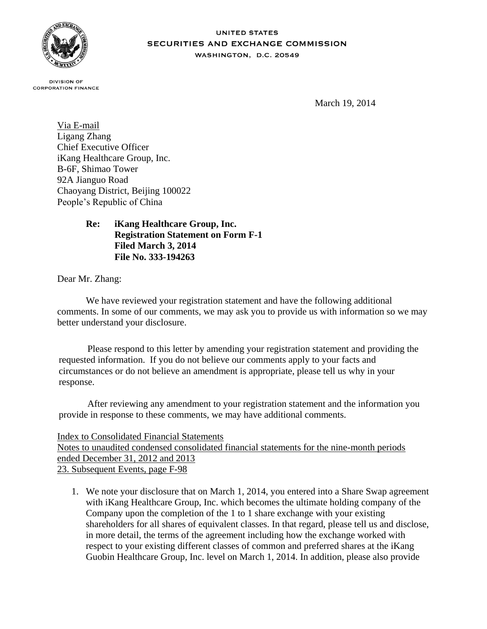

## **UNITED STATES SECURITIES AND EXCHANGE COMMISSION** WASHINGTON, D.C. 20549

**DIVISION OF CORPORATION FINANCE** 

March 19, 2014

Via E-mail Ligang Zhang Chief Executive Officer iKang Healthcare Group, Inc. B-6F, Shimao Tower 92A Jianguo Road Chaoyang District, Beijing 100022 People's Republic of China

## **Re: iKang Healthcare Group, Inc. Registration Statement on Form F-1 Filed March 3, 2014 File No. 333-194263**

Dear Mr. Zhang:

We have reviewed your registration statement and have the following additional comments. In some of our comments, we may ask you to provide us with information so we may better understand your disclosure.

Please respond to this letter by amending your registration statement and providing the requested information. If you do not believe our comments apply to your facts and circumstances or do not believe an amendment is appropriate, please tell us why in your response.

After reviewing any amendment to your registration statement and the information you provide in response to these comments, we may have additional comments.

## Index to Consolidated Financial Statements

Notes to unaudited condensed consolidated financial statements for the nine-month periods ended December 31, 2012 and 2013 23. Subsequent Events, page F-98

1. We note your disclosure that on March 1, 2014, you entered into a Share Swap agreement with iKang Healthcare Group, Inc. which becomes the ultimate holding company of the Company upon the completion of the 1 to 1 share exchange with your existing shareholders for all shares of equivalent classes. In that regard, please tell us and disclose, in more detail, the terms of the agreement including how the exchange worked with respect to your existing different classes of common and preferred shares at the iKang Guobin Healthcare Group, Inc. level on March 1, 2014. In addition, please also provide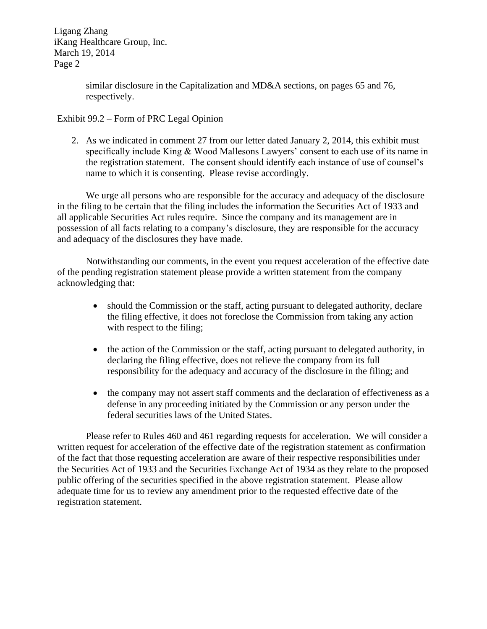Ligang Zhang iKang Healthcare Group, Inc. March 19, 2014 Page 2

> similar disclosure in the Capitalization and MD&A sections, on pages 65 and 76, respectively.

## Exhibit 99.2 – Form of PRC Legal Opinion

2. As we indicated in comment 27 from our letter dated January 2, 2014, this exhibit must specifically include King & Wood Mallesons Lawyers' consent to each use of its name in the registration statement. The consent should identify each instance of use of counsel's name to which it is consenting. Please revise accordingly.

We urge all persons who are responsible for the accuracy and adequacy of the disclosure in the filing to be certain that the filing includes the information the Securities Act of 1933 and all applicable Securities Act rules require. Since the company and its management are in possession of all facts relating to a company's disclosure, they are responsible for the accuracy and adequacy of the disclosures they have made.

Notwithstanding our comments, in the event you request acceleration of the effective date of the pending registration statement please provide a written statement from the company acknowledging that:

- should the Commission or the staff, acting pursuant to delegated authority, declare the filing effective, it does not foreclose the Commission from taking any action with respect to the filing;
- the action of the Commission or the staff, acting pursuant to delegated authority, in declaring the filing effective, does not relieve the company from its full responsibility for the adequacy and accuracy of the disclosure in the filing; and
- the company may not assert staff comments and the declaration of effectiveness as a defense in any proceeding initiated by the Commission or any person under the federal securities laws of the United States.

Please refer to Rules 460 and 461 regarding requests for acceleration. We will consider a written request for acceleration of the effective date of the registration statement as confirmation of the fact that those requesting acceleration are aware of their respective responsibilities under the Securities Act of 1933 and the Securities Exchange Act of 1934 as they relate to the proposed public offering of the securities specified in the above registration statement. Please allow adequate time for us to review any amendment prior to the requested effective date of the registration statement.